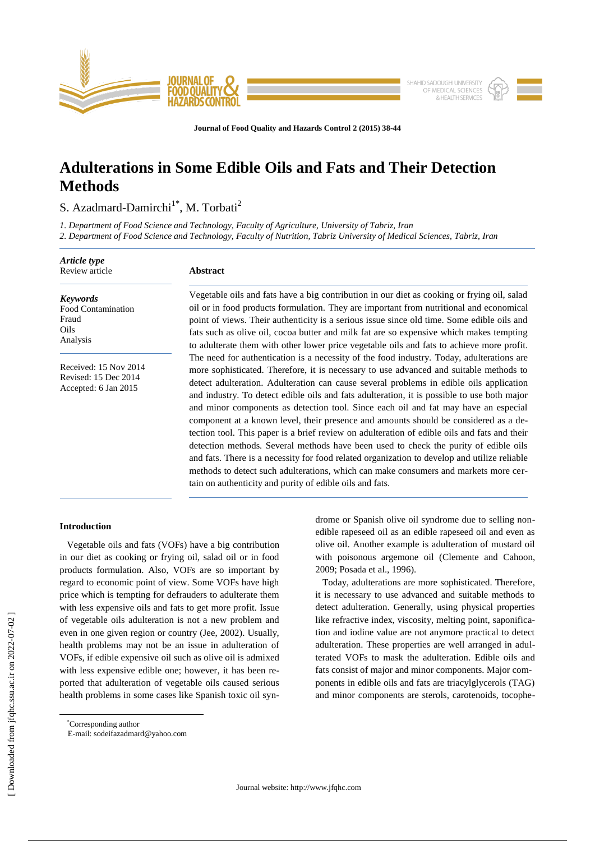

**Journal of Food Quality and Hazards Control 2 (2015) 38-44**

# **Adulterations in Some Edible Oils and Fats and Their Detection Methods**

S. Azadmard-Damirchi<sup>1\*</sup>, M. Torbati<sup>2</sup>

*1. Department of Food Science and Technology, Faculty of Agriculture, University of Tabriz, Iran*

*2. Department of Food Science and Technology, Faculty of Nutrition, Tabriz University of Medical Sciences, Tabriz, Iran*

| Article type<br>Review article                                        | <b>Abstract</b>                                                                                                                                                                                                                                                                                                                                                                                                                                                                                                                                                                                                                                                                                                                                                                                                                                                                                                                                                                                          |  |
|-----------------------------------------------------------------------|----------------------------------------------------------------------------------------------------------------------------------------------------------------------------------------------------------------------------------------------------------------------------------------------------------------------------------------------------------------------------------------------------------------------------------------------------------------------------------------------------------------------------------------------------------------------------------------------------------------------------------------------------------------------------------------------------------------------------------------------------------------------------------------------------------------------------------------------------------------------------------------------------------------------------------------------------------------------------------------------------------|--|
| <b>Keywords</b><br>Food Contamination<br>Fraud<br>Oils<br>Analysis    | Vegetable oils and fats have a big contribution in our diet as cooking or frying oil, salad<br>oil or in food products formulation. They are important from nutritional and economical<br>point of views. Their authenticity is a serious issue since old time. Some edible oils and<br>fats such as olive oil, cocoa butter and milk fat are so expensive which makes tempting<br>to adulterate them with other lower price vegetable oils and fats to achieve more profit.                                                                                                                                                                                                                                                                                                                                                                                                                                                                                                                             |  |
| Received: 15 Nov 2014<br>Revised: 15 Dec 2014<br>Accepted: 6 Jan 2015 | The need for authentication is a necessity of the food industry. Today, adulterations are<br>more sophisticated. Therefore, it is necessary to use advanced and suitable methods to<br>detect adulteration. Adulteration can cause several problems in edible oils application<br>and industry. To detect edible oils and fats adulteration, it is possible to use both major<br>and minor components as detection tool. Since each oil and fat may have an especial<br>component at a known level, their presence and amounts should be considered as a de-<br>tection tool. This paper is a brief review on adulteration of edible oils and fats and their<br>detection methods. Several methods have been used to check the purity of edible oils<br>and fats. There is a necessity for food related organization to develop and utilize reliable<br>methods to detect such adulterations, which can make consumers and markets more cer-<br>tain on authenticity and purity of edible oils and fats. |  |

## **Introduction**

Vegetable oils and fats (VOFs) have a big contribution in our diet as cooking or frying oil, salad oil or in food products formulation. Also, VOFs are so important by regard to economic point of view. Some VOFs have high price which is tempting for defrauders to adulterate them with less expensive oils and fats to get more profit. Issue of vegetable oils adulteration is not a new problem and even in one given region or country (Jee, 2002). Usually, health problems may not be an issue in adulteration of VOFs, if edible expensive oil such as olive oil is admixed with less expensive edible one; however, it has been reported that adulteration of vegetable oils caused serious health problems in some cases like Spanish toxic oil syndrome or Spanish olive oil syndrome due to selling nonedible rapeseed oil as an edible rapeseed oil and even as olive oil. Another example is adulteration of mustard oil with poisonous argemone oil [\(Clemente](http://www.ncbi.nlm.nih.gov/pubmed/?term=Clemente%20TE%5Bauth%5D) and [Cahoon,](http://www.ncbi.nlm.nih.gov/pubmed/?term=Cahoon%20EB%5Bauth%5D) 2009; Posada et al., 1996).

 Today, adulterations are more sophisticated. Therefore, it is necessary to use advanced and suitable methods to detect adulteration. Generally, using physical properties like refractive index, viscosity, melting point, saponification and iodine value are not anymore practical to detect adulteration. These properties are well arranged in adulterated VOFs to mask the adulteration. Edible oils and fats consist of major and minor components. Major components in edible oils and fats are triacylglycerols (TAG) and minor components are sterols, carotenoids, tocophe-

 $\overline{\phantom{a}}$ 

<sup>\*</sup>Corresponding author

E-mail: sodeifazadmard@yahoo.com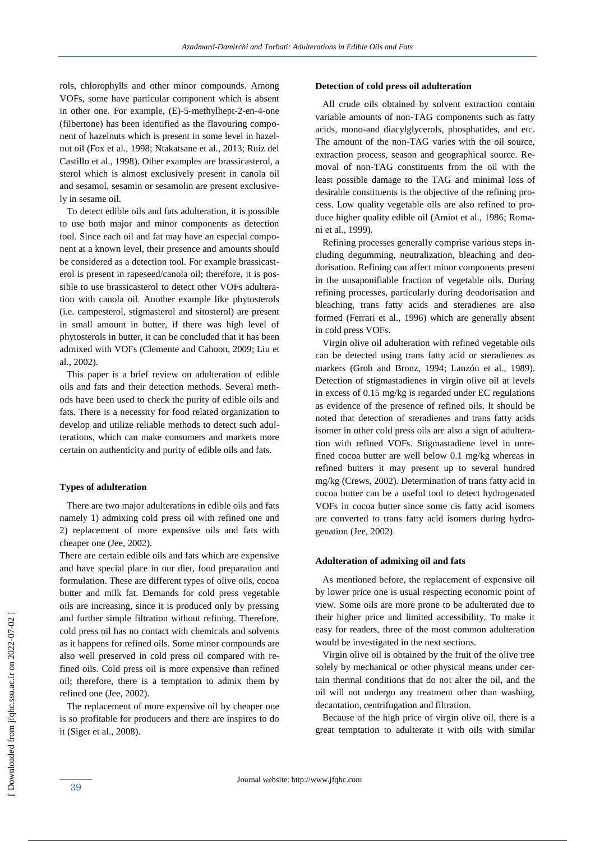rols, chlorophylls and other minor compounds. Among VOFs, some have particular component which is absent in other one. For example, (E)-5-methylhept-2-en-4-one (filbertone) has been identified as the flavouring component of hazelnuts which is present in some level in hazelnut oil (Fox et al., 1998; Ntakatsane et al., 2013; Ruiz del Castillo et al., 1998). Other examples are brassicasterol, a sterol which is almost exclusively present in canola oil and sesamol, sesamin or sesamolin are present exclusively in sesame oil.

To detect edible oils and fats adulteration, it is possible to use both major and minor components as detection tool. Since each oil and fat may have an especial component at a known level, their presence and amounts should be considered as a detection tool. For example brassicasterol is present in rapeseed/canola oil; therefore, it is possible to use brassicasterol to detect other VOFs adulteration with canola oil. Another example like phytosterols (i.e. campesterol, stigmasterol and sitosterol) are present in small amount in butter, if there was high level of phytosterols in butter, it can be concluded that it has been admixed with VOFs [\(Clemente](http://www.ncbi.nlm.nih.gov/pubmed/?term=Clemente%20TE%5Bauth%5D) and [Cahoon,](http://www.ncbi.nlm.nih.gov/pubmed/?term=Cahoon%20EB%5Bauth%5D) 2009; Liu et al., 2002).

 This paper is a brief review on adulteration of edible oils and fats and their detection methods. Several methods have been used to check the purity of edible oils and fats. There is a necessity for food related organization to develop and utilize reliable methods to detect such adulterations, which can make consumers and markets more certain on authenticity and purity of edible oils and fats.

## **Types of adulteration**

There are two major adulterations in edible oils and fats namely 1) admixing cold press oil with refined one and 2) replacement of more expensive oils and fats with cheaper one (Jee, 2002).

There are certain edible oils and fats which are expensive and have special place in our diet, food preparation and formulation. These are different types of olive oils, cocoa butter and milk fat. Demands for cold press vegetable oils are increasing, since it is produced only by pressing and further simple filtration without refining. Therefore, cold press oil has no contact with chemicals and solvents as it happens for refined oils. Some minor compounds are also well preserved in cold press oil compared with refined oils. Cold press oil is more expensive than refined oil; therefore, there is a temptation to admix them by refined one (Jee, 2002).

 The replacement of more expensive oil by cheaper one is so profitable for producers and there are inspires to do it (Siger et al., 2008).

## **Detection of cold press oil adulteration**

 All crude oils obtained by solvent extraction contain variable amounts of non-TAG components such as fatty acids, mono-and diacylglycerols, phosphatides, and etc. The amount of the non-TAG varies with the oil source, extraction process, season and geographical source. Removal of non-TAG constituents from the oil with the least possible damage to the TAG and minimal loss of desirable constituents is the objective of the refining process. Low quality vegetable oils are also refined to produce higher quality edible oil (Amiot et al., 1986; Romani et al., 1999).

Refining processes generally comprise various steps including degumming, neutralization, bleaching and deodorisation. Refining can affect minor components present in the unsaponifiable fraction of vegetable oils. During refining processes, particularly during deodorisation and bleaching, trans fatty acids and steradienes are also formed (Ferrari et al., 1996) which are generally absent in cold press VOFs.

Virgin olive oil adulteration with refined vegetable oils can be detected using trans fatty acid or steradienes as markers (Grob and Bronz, 1994; Lanzón et al., 1989). Detection of stigmastadienes in virgin olive oil at levels in excess of 0.15 mg/kg is regarded under EC regulations as evidence of the presence of refined oils. It should be noted that detection of steradienes and trans fatty acids isomer in other cold press oils are also a sign of adulteration with refined VOFs. Stigmastadiene level in unrefined cocoa butter are well below 0.1 mg/kg whereas in refined butters it may present up to several hundred mg/kg (Crews, 2002). Determination of trans fatty acid in cocoa butter can be a useful tool to detect hydrogenated VOFs in cocoa butter since some cis fatty acid isomers are converted to trans fatty acid isomers during hydrogenation (Jee, 2002).

## **Adulteration of admixing oil and fats**

 As mentioned before, the replacement of expensive oil by lower price one is usual respecting economic point of view. Some oils are more prone to be adulterated due to their higher price and limited accessibility. To make it easy for readers, three of the most common adulteration would be investigated in the next sections.

 Virgin olive oil is obtained by the fruit of the olive tree solely by mechanical or other physical means under certain thermal conditions that do not alter the oil, and the oil will not undergo any treatment other than washing, decantation, centrifugation and filtration.

 Because of the high price of virgin olive oil, there is a great temptation to adulterate it with oils with similar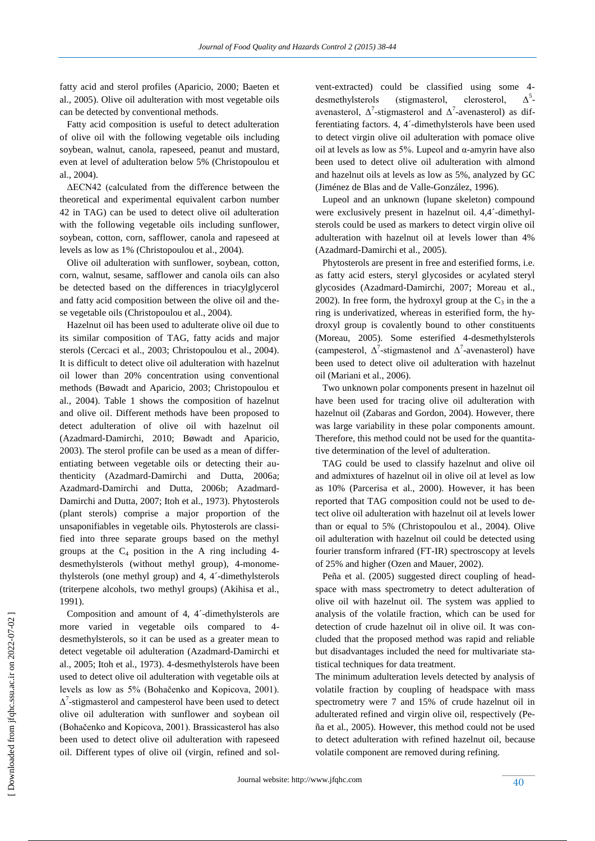fatty acid and sterol profiles (Aparicio, 2000; Baeten et al., 2005). Olive oil adulteration with most vegetable oils can be detected by conventional methods.

 Fatty acid composition is useful to detect adulteration of olive oil with the following vegetable oils including soybean, walnut, canola, rapeseed, peanut and mustard, even at level of adulteration below 5% (Christopoulou et al., 2004).

 ΔECN42 (calculated from the difference between the theoretical and experimental equivalent carbon number 42 in TAG) can be used to detect olive oil adulteration with the following vegetable oils including sunflower, soybean, cotton, corn, safflower, canola and rapeseed at levels as low as 1% (Christopoulou et al., 2004).

 Olive oil adulteration with sunflower, soybean, cotton, corn, walnut, sesame, safflower and canola oils can also be detected based on the differences in triacylglycerol and fatty acid composition between the olive oil and these vegetable oils (Christopoulou et al., 2004).

 Hazelnut oil has been used to adulterate olive oil due to its similar composition of TAG, fatty acids and major sterols (Cercaci et al., 2003; Christopoulou et al., 2004). It is difficult to detect olive oil adulteration with hazelnut oil lower than 20% concentration using conventional methods (Bøwadt and Aparicio, 2003; Christopoulou et al., 2004). Table 1 shows the composition of hazelnut and olive oil. Different methods have been proposed to detect adulteration of olive oil with hazelnut oil (Azadmard-Damirchi, 2010; Bøwadt and Aparicio, 2003). The sterol profile can be used as a mean of differentiating between vegetable oils or detecting their authenticity (Azadmard-Damirchi and Dutta, 2006a; Azadmard-Damirchi and Dutta, 2006b; Azadmard-Damirchi and Dutta, 2007; Itoh et al., 1973). Phytosterols (plant sterols) comprise a major proportion of the unsaponifiables in vegetable oils. Phytosterols are classified into three separate groups based on the methyl groups at the  $C_4$  position in the A ring including 4desmethylsterols (without methyl group), 4-monomethylsterols (one methyl group) and 4, 4´-dimethylsterols (triterpene alcohols, two methyl groups) (Akihisa et al., 1991).

Composition and amount of 4, 4´-dimethylsterols are more varied in vegetable oils compared to 4 desmethylsterols, so it can be used as a greater mean to detect vegetable oil adulteration (Azadmard-Damirchi et al., 2005; Itoh et al., 1973). 4-desmethylsterols have been used to detect olive oil adulteration with vegetable oils at levels as low as 5% (Bohačenko and Kopicova, 2001).  $\Delta^7$ -stigmasterol and campesterol have been used to detect olive oil adulteration with sunflower and soybean oil (Bohačenko and Kopicova, 2001). Brassicasterol has also been used to detect olive oil adulteration with rapeseed oil. Different types of olive oil (virgin, refined and solvent-extracted) could be classified using some 4 desmethylsterols (stigmasterol, clerosterol,  $\Lambda^5$ avenasterol,  $\Delta^7$ -stigmasterol and  $\Delta^7$ -avenasterol) as differentiating factors. 4, 4´-dimethylsterols have been used to detect virgin olive oil adulteration with pomace olive oil at levels as low as  $5\%$ . Lupeol and  $\alpha$ -amyrin have also been used to detect olive oil adulteration with almond and hazelnut oils at levels as low as 5%, analyzed by GC (Jiménez de Blas and de Valle-González, 1996).

 Lupeol and an unknown (lupane skeleton) compound were exclusively present in hazelnut oil. 4,4´-dimethylsterols could be used as markers to detect virgin olive oil adulteration with hazelnut oil at levels lower than 4% (Azadmard-Damirchi et al., 2005).

 Phytosterols are present in free and esterified forms, i.e. as fatty acid esters, steryl glycosides or acylated steryl glycosides (Azadmard-Damirchi, 2007; Moreau et al., 2002). In free form, the hydroxyl group at the  $C_3$  in the a ring is underivatized, whereas in esterified form, the hydroxyl group is covalently bound to other constituents (Moreau, 2005). Some esterified 4-desmethylsterols (campesterol,  $\Delta^7$ -stigmastenol and  $\Delta^7$ -avenasterol) have been used to detect olive oil adulteration with hazelnut oil (Mariani et al., 2006).

 Two unknown polar components present in hazelnut oil have been used for tracing olive oil adulteration with hazelnut oil (Zabaras and Gordon, 2004). However, there was large variability in these polar components amount. Therefore, this method could not be used for the quantitative determination of the level of adulteration.

TAG could be used to classify hazelnut and olive oil and admixtures of hazelnut oil in olive oil at level as low as 10% (Parcerisa et al., 2000). However, it has been reported that TAG composition could not be used to detect olive oil adulteration with hazelnut oil at levels lower than or equal to 5% (Christopoulou et al., 2004). Olive oil adulteration with hazelnut oil could be detected using fourier transform infrared (FT-IR) spectroscopy at levels of 25% and higher (Ozen and Mauer, 2002).

Peña et al. (2005) suggested direct coupling of headspace with mass spectrometry to detect adulteration of olive oil with hazelnut oil. The system was applied to analysis of the volatile fraction, which can be used for detection of crude hazelnut oil in olive oil. It was concluded that the proposed method was rapid and reliable but disadvantages included the need for multivariate statistical techniques for data treatment.

The minimum adulteration levels detected by analysis of volatile fraction by coupling of headspace with mass spectrometry were 7 and 15% of crude hazelnut oil in adulterated refined and virgin olive oil, respectively (Peña et al., 2005). However, this method could not be used to detect adulteration with refined hazelnut oil, because volatile component are removed during refining.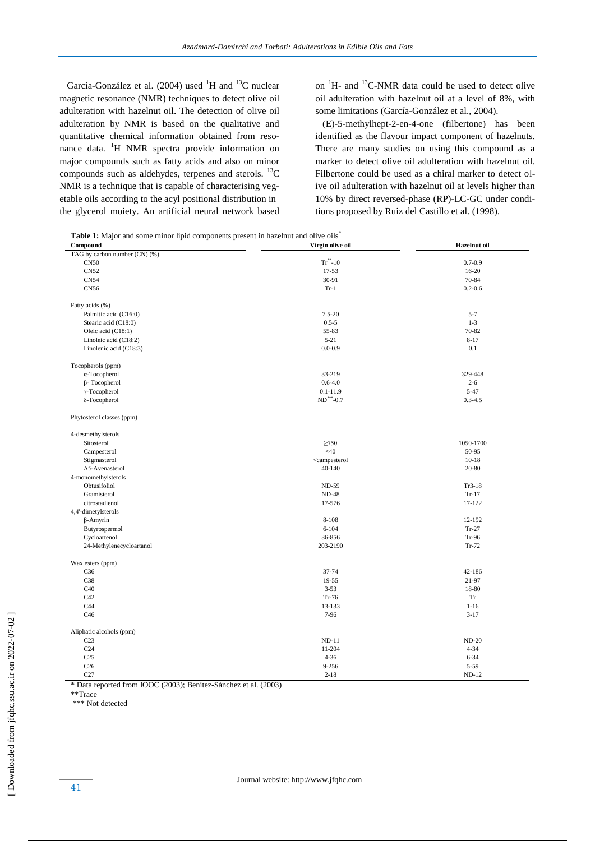García-González et al. (2004) used  ${}^{1}H$  and  ${}^{13}C$  nuclear magnetic resonance (NMR) techniques to detect olive oil adulteration with hazelnut oil. The detection of olive oil adulteration by NMR is based on the qualitative and quantitative chemical information obtained from resonance data. <sup>1</sup>H NMR spectra provide information on major compounds such as fatty acids and also on minor compounds such as aldehydes, terpenes and sterols.  ${}^{13}C$ NMR is a technique that is capable of characterising vegetable oils according to the acyl positional distribution in the glycerol moiety. An artificial neural network based

on  ${}^{1}$ H- and  ${}^{13}$ C-NMR data could be used to detect olive oil adulteration with hazelnut oil at a level of 8%, with some limitations (García-González et al., 2004).

 (E)-5-methylhept-2-en-4-one (filbertone) has been identified as the flavour impact component of hazelnuts. There are many studies on using this compound as a marker to detect olive oil adulteration with hazelnut oil. Filbertone could be used as a chiral marker to detect olive oil adulteration with hazelnut oil at levels higher than 10% by direct reversed-phase (RP)-LC-GC under conditions proposed by Ruiz del Castillo et al. (1998).

Table 1: Major and some minor lipid components present in hazelnut and olive oils<sup>\*</sup>

| <b>radic 1.</b> major and some minor upid components present in nazemat and on re ons |                                                                | <b>Hazelnut</b> oil |  |
|---------------------------------------------------------------------------------------|----------------------------------------------------------------|---------------------|--|
| Compound                                                                              | Virgin olive oil                                               |                     |  |
| TAG by carbon number (CN) (%)                                                         |                                                                |                     |  |
| <b>CN50</b>                                                                           | $Tr^{\ast\ast}$ -10                                            | $0.7 - 0.9$         |  |
| <b>CN52</b>                                                                           | 17-53                                                          | $16-20$             |  |
| CN54                                                                                  | 30-91                                                          | 70-84               |  |
| <b>CN56</b>                                                                           | $Tr-1$                                                         | $0.2 - 0.6$         |  |
| Fatty acids (%)                                                                       |                                                                |                     |  |
| Palmitic acid (C16:0)                                                                 | $7.5 - 20$                                                     | $5 - 7$             |  |
| Stearic acid (C18:0)                                                                  | $0.5 - 5$                                                      | $1-3$               |  |
| Oleic acid (C18:1)                                                                    | 55-83                                                          | 70-82               |  |
| Linoleic acid (C18:2)                                                                 | $5 - 21$                                                       | $8 - 17$            |  |
| Linolenic acid (C18:3)                                                                | $0.0 - 0.9$                                                    | 0.1                 |  |
|                                                                                       |                                                                |                     |  |
| Tocopherols (ppm)                                                                     |                                                                |                     |  |
| α-Tocopherol                                                                          | 33-219                                                         | 329-448             |  |
| $\beta$ - Tocopherol                                                                  | $0.6 - 4.0$                                                    | $2 - 6$             |  |
| $\gamma$ -Tocopherol                                                                  | $0.1 - 11.9$                                                   | $5 - 47$            |  |
| δ-Tocopherol                                                                          | $\rm{ND}$ ***-0.7                                              | $0.3 - 4.5$         |  |
| Phytosterol classes (ppm)                                                             |                                                                |                     |  |
| 4-desmethylsterols                                                                    |                                                                |                     |  |
| Sitosterol                                                                            | $\geq 750$                                                     | 1050-1700           |  |
| Campesterol                                                                           | $\leq 40$                                                      | 50-95               |  |
| Stigmasterol                                                                          | <campesterol< td=""><td><math>10-18</math></td></campesterol<> | $10-18$             |  |
| $\Delta$ 5-Avenasterol                                                                | $40 - 140$                                                     | 20-80               |  |
| 4-monomethylsterols                                                                   |                                                                |                     |  |
| Obtusifoliol                                                                          | <b>ND-59</b>                                                   | $Tr3-18$            |  |
| Gramisterol                                                                           | <b>ND-48</b>                                                   | $Tr-17$             |  |
| citrostadienol                                                                        | 17-576                                                         | 17-122              |  |
| 4,4'-dimetylsterols                                                                   |                                                                |                     |  |
|                                                                                       | 8-108                                                          | 12-192              |  |
| $\beta$ -Amyrin                                                                       |                                                                |                     |  |
| Butyrospermol                                                                         | $6 - 104$                                                      | $Tr-27$             |  |
| Cycloartenol                                                                          | 36-856                                                         | $Tr-96$             |  |
| 24-Methylenecycloartanol                                                              | 203-2190                                                       | $Tr-72$             |  |
| Wax esters (ppm)                                                                      |                                                                |                     |  |
| C36                                                                                   | 37-74                                                          | 42-186              |  |
| C38                                                                                   | 19-55                                                          | 21-97               |  |
| C40                                                                                   | $3 - 53$                                                       | 18-80               |  |
| C42                                                                                   | $Tr-76$                                                        | Tr                  |  |
| C44                                                                                   | 13-133                                                         | $1 - 16$            |  |
| C46                                                                                   | 7-96                                                           | $3 - 17$            |  |
| Aliphatic alcohols (ppm)                                                              |                                                                |                     |  |
| C <sub>23</sub>                                                                       | $ND-11$                                                        | $ND-20$             |  |
| C <sub>24</sub>                                                                       | 11-204                                                         | $4 - 34$            |  |
| C <sub>25</sub>                                                                       | $4 - 36$                                                       | $6 - 34$            |  |
| C <sub>26</sub>                                                                       | 9-256                                                          | 5-59                |  |
| C27                                                                                   | $2 - 18$                                                       | $ND-12$             |  |
|                                                                                       |                                                                |                     |  |

\* Data reported from IOOC (2003); Benitez-Sánchez et al. (2003)

\*\*Trace

\*\*\* Not detected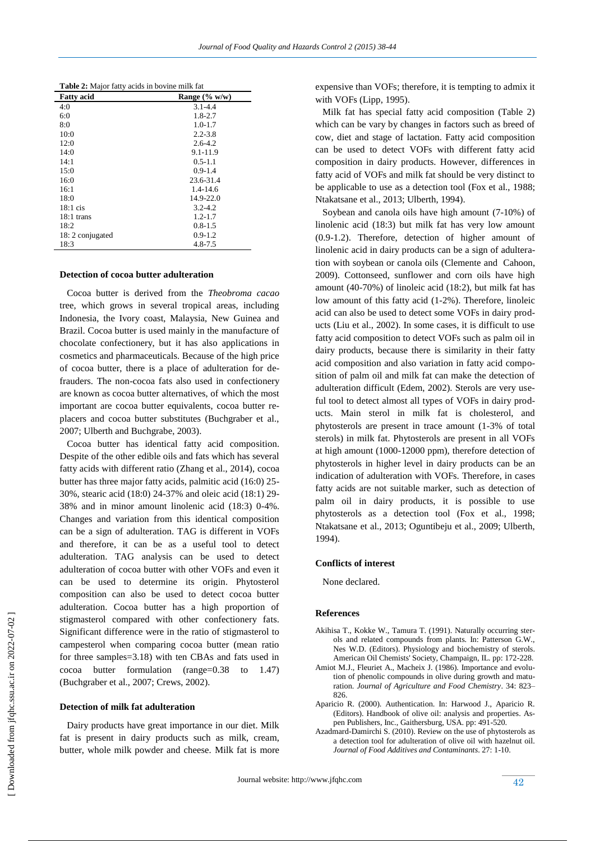| <b>Table 2:</b> Major fatty acids in bovine milk fat |  |  |
|------------------------------------------------------|--|--|
|                                                      |  |  |

| <b>Fatty</b> acid | Range $(\% w/w)$ |
|-------------------|------------------|
| 4:0               | $3.1 - 4.4$      |
| 6:0               | $1.8 - 2.7$      |
| 8:0               | $1.0 - 1.7$      |
| 10:0              | $2.2 - 3.8$      |
| 12:0              | $2.6 - 4.2$      |
| 14:0              | $9.1 - 11.9$     |
| 14:1              | $0.5 - 1.1$      |
| 15:0              | $0.9 - 1.4$      |
| 16:0              | 23.6-31.4        |
| 16:1              | $1.4 - 14.6$     |
| 18:0              | 14.9-22.0        |
| $18:1$ cis        | $3.2 - 4.2$      |
| $18:1$ trans      | $1.2 - 1.7$      |
| 18:2              | $0.8 - 1.5$      |
| 18: 2 conjugated  | $0.9 - 1.2$      |
| 18:3              | 4.8-7.5          |

## **Detection of cocoa butter adulteration**

 Cocoa butter is derived from the *Theobroma cacao* tree, which grows in several tropical areas, including Indonesia, the Ivory coast, Malaysia, New Guinea and Brazil. Cocoa butter is used mainly in the manufacture of chocolate confectionery, but it has also applications in cosmetics and pharmaceuticals. Because of the high price of cocoa butter, there is a place of adulteration for defrauders. The non-cocoa fats also used in confectionery are known as cocoa butter alternatives, of which the most important are cocoa butter equivalents, cocoa butter replacers and cocoa butter substitutes (Buchgraber et al., 2007; Ulberth and Buchgrabe, 2003).

 Cocoa butter has identical fatty acid composition. Despite of the other edible oils and fats which has several fatty acids with different ratio (Zhang et al., 2014), cocoa butter has three major fatty acids, palmitic acid (16:0) 25- 30%, stearic acid (18:0) 24-37% and oleic acid (18:1) 29- 38% and in minor amount linolenic acid (18:3) 0-4%. Changes and variation from this identical composition can be a sign of adulteration. TAG is different in VOFs and therefore, it can be as a useful tool to detect adulteration. TAG analysis can be used to detect adulteration of cocoa butter with other VOFs and even it can be used to determine its origin. Phytosterol composition can also be used to detect cocoa butter adulteration. Cocoa butter has a high proportion of stigmasterol compared with other confectionery fats. Significant difference were in the ratio of stigmasterol to campesterol when comparing cocoa butter (mean ratio for three samples=3.18) with ten CBAs and fats used in cocoa butter formulation (range=0.38 to 1.47) (Buchgraber et al., 2007; Crews, 2002).

## **Detection of milk fat adulteration**

 Dairy products have great importance in our diet. Milk fat is present in dairy products such as milk, cream, butter, whole milk powder and cheese. Milk fat is more expensive than VOFs; therefore, it is tempting to admix it with VOFs (Lipp, 1995).

 Milk fat has special fatty acid composition (Table 2) which can be vary by changes in factors such as breed of cow, diet and stage of lactation. Fatty acid composition can be used to detect VOFs with different fatty acid composition in dairy products. However, differences in fatty acid of VOFs and milk fat should be very distinct to be applicable to use as a detection tool (Fox et al., 1988; Ntakatsane et al., 2013; Ulberth, 1994).

Soybean and canola oils have high amount (7-10%) of linolenic acid (18:3) but milk fat has very low amount (0.9-1.2). Therefore, detection of higher amount of linolenic acid in dairy products can be a sign of adulteration with soybean or canola oils [\(Clemente](http://www.ncbi.nlm.nih.gov/pubmed/?term=Clemente%20TE%5Bauth%5D) an[d Cahoon,](http://www.ncbi.nlm.nih.gov/pubmed/?term=Cahoon%20EB%5Bauth%5D) 2009). Cottonseed, sunflower and corn oils have high amount (40-70%) of linoleic acid (18:2), but milk fat has low amount of this fatty acid (1-2%). Therefore, linoleic acid can also be used to detect some VOFs in dairy products (Liu et al., 2002). In some cases, it is difficult to use fatty acid composition to detect VOFs such as palm oil in dairy products, because there is similarity in their fatty acid composition and also variation in fatty acid composition of palm oil and milk fat can make the detection of adulteration difficult (Edem, 2002). Sterols are very useful tool to detect almost all types of VOFs in dairy products. Main sterol in milk fat is cholesterol, and phytosterols are present in trace amount (1-3% of total sterols) in milk fat. Phytosterols are present in all VOFs at high amount (1000-12000 ppm), therefore detection of phytosterols in higher level in dairy products can be an indication of adulteration with VOFs. Therefore, in cases fatty acids are not suitable marker, such as detection of palm oil in dairy products, it is possible to use phytosterols as a detection tool (Fox et al., 1998; Ntakatsane et al., 2013; Oguntibeju et al., 2009; Ulberth, 1994).

## **Conflicts of interest**

None declared.

#### **References**

- Akihisa T., Kokke W., Tamura T. (1991). Naturally occurring sterols and related compounds from plants. In: Patterson G.W., Nes W.D. (Editors). Physiology and biochemistry of sterols. American Oil Chemists' Society, Champaign, IL. pp: 172-228.
- Amiot M.J., Fleuriet A., Macheix J. (1986). Importance and evolution of phenolic compounds in olive during growth and maturation. *Journal of Agriculture and Food Chemistry*. 34: 823– 826.
- Aparicio R. (2000). Authentication. In: Harwood J., Aparicio R. (Editors). Handbook of olive oil: analysis and properties. Aspen Publishers, Inc., Gaithersburg, USA. pp: 491-520.
- Azadmard-Damirchi S. (2010). Review on the use of phytosterols as a detection tool for adulteration of olive oil with hazelnut oil. *Journal of Food Additives and Contaminants*. 27: 1-10.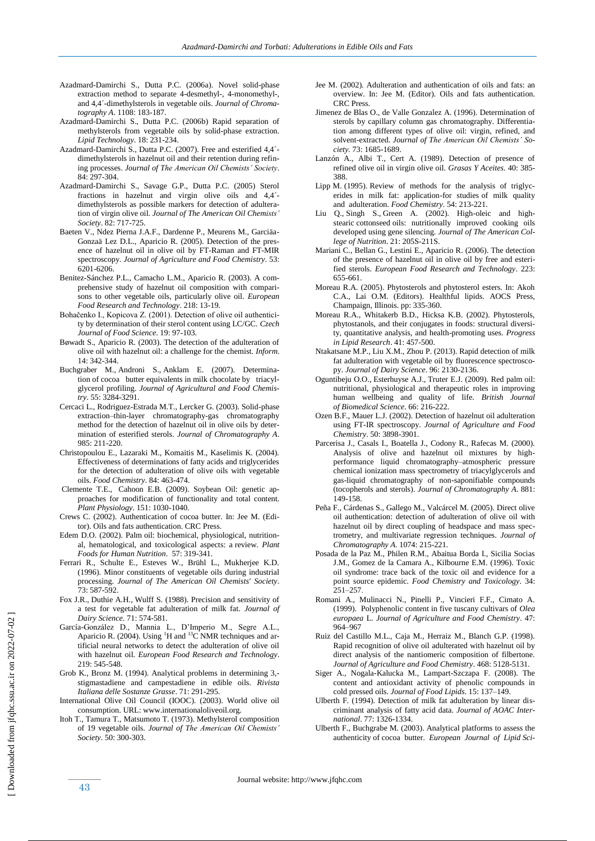- Azadmard-Damirchi S., Dutta P.C. (2006a). Novel solid-phase extraction method to separate 4-desmethyl-, 4-monomethyl-, and 4,4´-dimethylsterols in vegetable oils. *Journal of Chromatography A*. 1108: 183-187.
- Azadmard-Damirchi S., Dutta P.C. (2006b) Rapid separation of methylsterols from vegetable oils by solid-phase extraction. *Lipid Technology*. 18: 231-234.
- Azadmard-Damirchi S., Dutta P.C. (2007). Free and esterified 4,4<sup>2</sup>dimethylsterols in hazelnut oil and their retention during refining processes. *Journal of The American Oil Chemists' Society*. 84: 297-304.
- Azadmard-Damirchi S., Savage G.P., Dutta P.C. (2005) Sterol fractions in hazelnut and virgin olive oils and 4,4´ dimethylsterols as possible markers for detection of adulteration of virgin olive oil. *Journal of The American Oil Chemists' Society*. 82: 717-725.
- Baeten V., Ndez Pierna J.A.F., Dardenne P., Meurens M., Garciäa-Gonzaä Lez D.L., Aparicio R. (2005). Detection of the presence of hazelnut oil in olive oil by FT-Raman and FT-MIR spectroscopy. *Journal of Agriculture and Food Chemistry*. 53: 6201-6206.
- Benitez-Sánchez P.L., Camacho L.M., Aparicio R. (2003). A comprehensive study of hazelnut oil composition with comparisons to other vegetable oils, particularly olive oil. *European Food Research and Technology*. 218: 13-19.
- Bohačenko I., Kopicova Z. (2001). Detection of olive oil authenticity by determination of their sterol content using LC/GC. *Czech Journal of Food Science*. 19: 97-103.
- Bøwadt S., Aparicio R. (2003). The detection of the adulteration of olive oil with hazelnut oil: a challenge for the chemist. *Inform*. 14: 342-344.
- [Buchgraber M.](http://www.ncbi.nlm.nih.gov/pubmed/?term=Buchgraber%20M%5BAuthor%5D&cauthor=true&cauthor_uid=17394334), [Androni S.,](http://www.ncbi.nlm.nih.gov/pubmed/?term=Androni%20S%5BAuthor%5D&cauthor=true&cauthor_uid=17394334) [Anklam E.](http://www.ncbi.nlm.nih.gov/pubmed/?term=Anklam%20E%5BAuthor%5D&cauthor=true&cauthor_uid=17394334) (2007). Determination of cocoa butter equivalents in milk chocolate by triacylglycerol profiling. *Journal of Agricultural and Food Chemistry*. 55: 3284-3291.
- Cercaci L., Rodriguez-Estrada M.T., Lercker G. (2003). Solid-phase extraction–thin-layer chromatography-gas chromatography method for the detection of hazelnut oil in olive oils by determination of esterified sterols. *Journal of Chromatography A*. 985: 211-220.
- Christopoulou E., Lazaraki M., Komaitis M., Kaselimis K. (2004). Effectiveness of determinations of fatty acids and triglycerides for the detection of adulteration of olive oils with vegetable oils. *Food Chemistry*. 84: 463-474.
- [Clemente](http://www.ncbi.nlm.nih.gov/pubmed/?term=Clemente%20TE%5Bauth%5D) T.E., [Cahoon](http://www.ncbi.nlm.nih.gov/pubmed/?term=Cahoon%20EB%5Bauth%5D) E.B. (2009). Soybean Oil: genetic approaches for modification of functionality and total content. *Plant Physiology*. 151: 1030-1040.
- Crews C. (2002). Authentication of cocoa butter. In: Jee M. (Editor). Oils and fats authentication. CRC Press.
- [Edem D.O.](http://www.ncbi.nlm.nih.gov/pubmed/?term=Edem%20DO%5BAuthor%5D&cauthor=true&cauthor_uid=12602939) (2002). Palm oil: biochemical, physiological, nutritional, hematological, and toxicological aspects: a review. *[Plant](http://www.ncbi.nlm.nih.gov/pubmed/12602939)  [Foods for Human Nutrition](http://www.ncbi.nlm.nih.gov/pubmed/12602939)*. 57: 319-341.
- Ferrari R., Schulte E., Esteves W., Brühl L., Mukherjee K.D. (1996). Minor constituents of vegetable oils during industrial processing. *Journal of The American Oil Chemists' Society*. 73: 587-592.
- [Fox J.R.](http://www.ncbi.nlm.nih.gov/pubmed/?term=Fox%20JR%5BAuthor%5D&cauthor=true&cauthor_uid=3372811), [Duthie A.H.,](http://www.ncbi.nlm.nih.gov/pubmed/?term=Duthie%20AH%5BAuthor%5D&cauthor=true&cauthor_uid=3372811) [Wulff S.](http://www.ncbi.nlm.nih.gov/pubmed/?term=Wulff%20S%5BAuthor%5D&cauthor=true&cauthor_uid=3372811) (1988). Precision and sensitivity of a test for vegetable fat adulteration of milk fat. *Journal of Dairy Science*. 71: 574-581.
- García-González D., Mannia L., D'Imperio M., Segre A.L., Aparicio R. (2004). Using <sup>1</sup>H and <sup>13</sup>C NMR techniques and artificial neural networks to detect the adulteration of olive oil with hazelnut oil. *European Food Research and Technology*. 219: 545-548.
- Grob K., Bronz M. (1994). Analytical problems in determining 3, stigmastadiene and campestadiene in edible oils. *Rivista Italiana delle Sostanze Grasse*. 71: 291-295.
- International Olive Oil Council (IOOC). (2003). World olive oil consumption. URL: www.internationaloliveoil.org.
- Itoh T., Tamura T., Matsumoto T. (1973). Methylsterol composition of 19 vegetable oils. *Journal of The American Oil Chemists' Society*. 50: 300-303.
- Jee M. (2002). Adulteration and authentication of oils and fats: an overview. In: Jee M. (Editor). Oils and fats authentication. CRC Press.
- Jimenez de Blas O., de Valle Gonzalez A. (1996). Determination of sterols by capillary column gas chromatography. Differentiation among different types of olive oil: virgin, refined, and solvent-extracted. *Journal of The American Oil Chemists' Society.* 73: 1685-1689.
- Lanzón A., Albi T., Cert A. (1989). Detection of presence of refined olive oil in virgin olive oil. *Grasas Y Aceites*. 40: 385- 388.
- Lipp M. (1995). Review of methods for the analysis of triglycerides in milk fat: application-for studies of milk quality and adulteration. *Food Chemistry*. 54: 213-221.
- [Liu Q.,](http://www.ncbi.nlm.nih.gov/pubmed/?term=Liu%20Q%5BAuthor%5D&cauthor=true&cauthor_uid=12071306) [Singh S.](http://www.ncbi.nlm.nih.gov/pubmed/?term=Singh%20S%5BAuthor%5D&cauthor=true&cauthor_uid=12071306), [Green A.](http://www.ncbi.nlm.nih.gov/pubmed/?term=Green%20A%5BAuthor%5D&cauthor=true&cauthor_uid=12071306) (2002). High-oleic and highstearic cottonseed oils: nutritionally improved cooking oils developed using gene silencing. *[Journal of The American Col](http://www.ncbi.nlm.nih.gov/pubmed/12071306)[lege of Nutrition](http://www.ncbi.nlm.nih.gov/pubmed/12071306)*. 21: 205S-211S.
- Mariani C., Bellan G., Lestini E., Aparicio R. (2006). The detection of the presence of hazelnut oil in olive oil by free and esterified sterols. *European Food Research and Technology*. 223: 655-661.
- Moreau R.A. (2005). Phytosterols and phytosterol esters. In: Akoh C.A., Lai O.M. (Editors). Healthful lipids. AOCS Press, Champaign, Illinois. pp: 335-360.
- Moreau R.A., Whitakerb B.D., Hicksa K.B. (2002). Phytosterols, phytostanols, and their conjugates in foods: structural diversity, quantitative analysis, and health-promoting uses. *Progress in Lipid Research*. 41: 457-500.
- [Ntakatsane M.P.,](http://www.ncbi.nlm.nih.gov/pubmed/?term=Ntakatsane%20MP%5BAuthor%5D&cauthor=true&cauthor_uid=23415535) [Liu X.M.,](http://www.ncbi.nlm.nih.gov/pubmed/?term=Liu%20XM%5BAuthor%5D&cauthor=true&cauthor_uid=23415535) [Zhou P.](http://www.ncbi.nlm.nih.gov/pubmed/?term=Zhou%20P%5BAuthor%5D&cauthor=true&cauthor_uid=23415535) (2013). Rapid detection of milk fat adulteration with vegetable oil by fluorescence spectroscopy. *Journal of Dairy Science*. 96: 2130-2136.
- [Oguntibeju O.O.,](http://www.ncbi.nlm.nih.gov/pubmed/?term=Oguntibeju%20OO%5BAuthor%5D&cauthor=true&cauthor_uid=20095133) [Esterhuyse A.J.,](http://www.ncbi.nlm.nih.gov/pubmed/?term=Esterhuyse%20AJ%5BAuthor%5D&cauthor=true&cauthor_uid=20095133) [Truter E.J.](http://www.ncbi.nlm.nih.gov/pubmed/?term=Truter%20EJ%5BAuthor%5D&cauthor=true&cauthor_uid=20095133) (2009). Red palm oil: nutritional, physiological and therapeutic roles in improving human wellbeing and quality of life. *[British Journal](http://www.ncbi.nlm.nih.gov/pubmed/20095133)  of [Biomedical Science](http://www.ncbi.nlm.nih.gov/pubmed/20095133)*. 66: 216-222.
- Ozen B.F., Mauer L.J. (2002). Detection of hazelnut oil adulteration using FT-IR spectroscopy. *Journal of Agriculture and Food Chemistry*. 50: 3898-3901.
- Parcerisa J., Casals I., Boatella J., Codony R., Rafecas M. (2000). Analysis of olive and hazelnut oil mixtures by highperformance liquid chromatography–atmospheric pressure chemical ionization mass spectrometry of triacylglycerols and gas-liquid chromatography of non-saponifiable compounds (tocopherols and sterols). *Journal of Chromatography A*. 881: 149-158.
- Peña F., Cárdenas S., Gallego M., Valcárcel M. (2005). Direct olive oil authentication: detection of adulteration of olive oil with hazelnut oil by direct coupling of headspace and mass spectrometry, and multivariate regression techniques. *Journal of Chromatography A*. 1074: 215-221.
- Posada de la Paz M., Philen R.M., Abaitua Borda I., Sicilia Socias J.M., Gomez de la Camara A., Kilbourne E.M. (1996). Toxic oil syndrome: trace back of the toxic oil and evidence for a point source epidemic. *Food Chemistry and Toxicology*. 34: 251–257.
- Romani A., Mulinacci N., Pinelli P., Vincieri F.F., Cimato A. (1999). Polyphenolic content in five tuscany cultivars of *Olea europaea* L. *Journal of Agriculture and Food Chemistry*. 47: 964–967
- Ruiz del Castillo M.L., Caja M., Herraiz M., Blanch G.P. (1998). Rapid recognition of olive oil adulterated with hazelnut oil by direct analysis of the nantiomeric composition of filbertone. *Journal of Agriculture and Food Chemistry*. 468: 5128-5131.
- Siger A., Nogala-Kalucka M., Lampart-Szczapa F. (2008). The content and antioxidant activity of phenolic compounds in cold pressed oils. *Journal of Food Lipids*. 15: 137–149.
- Ulberth F. (1994). Detection of milk fat adulteration by linear discriminant analysis of fatty acid data. *Journal of AOAC International*. 77: 1326-1334.
- Ulberth F., Buchgrabe M. (2003). Analytical platforms to assess the authenticity of cocoa butter. *European Journal of Lipid Sci-*